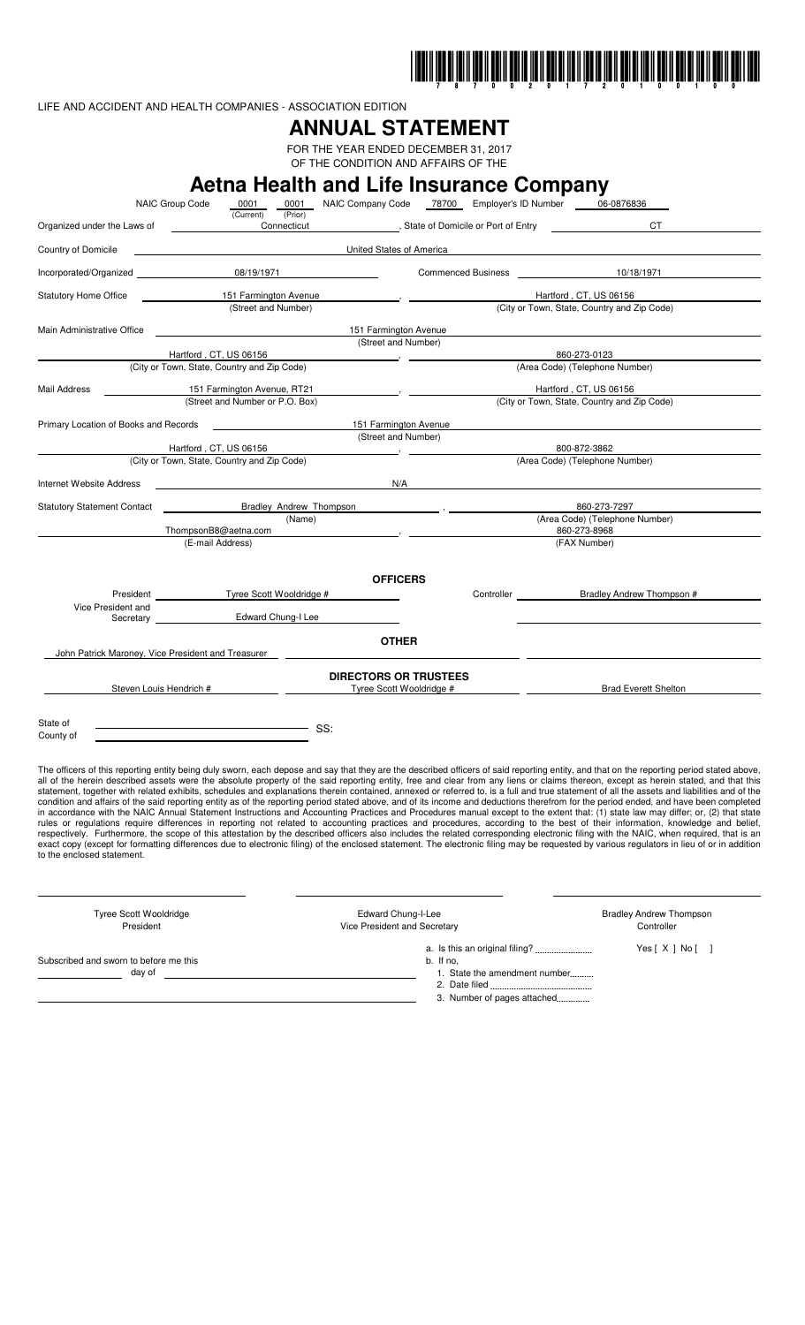

LIFE AND ACCIDENT AND HEALTH COMPANIES - ASSOCIATION EDITION

# **ANNUAL STATEMENT**

FOR THE YEAR ENDED DECEMBER 31, 2017 OF THE CONDITION AND AFFAIRS OF THE

| NAIC Group Code                                    | Aetna Health and Life Insurance Company<br>0001<br>0001               | NAIC Company Code 78700 Employer's ID Number 06-0876836 |                           |                                                                                                                                                                                                                                                                                                                                                                                                                                                                                                                                                                                                                                                                                                                                                                                                                                                                                                                                                                                                                                                                                                                                                                                                                                                                                                                                                                                                                                                                                                                                 |
|----------------------------------------------------|-----------------------------------------------------------------------|---------------------------------------------------------|---------------------------|---------------------------------------------------------------------------------------------------------------------------------------------------------------------------------------------------------------------------------------------------------------------------------------------------------------------------------------------------------------------------------------------------------------------------------------------------------------------------------------------------------------------------------------------------------------------------------------------------------------------------------------------------------------------------------------------------------------------------------------------------------------------------------------------------------------------------------------------------------------------------------------------------------------------------------------------------------------------------------------------------------------------------------------------------------------------------------------------------------------------------------------------------------------------------------------------------------------------------------------------------------------------------------------------------------------------------------------------------------------------------------------------------------------------------------------------------------------------------------------------------------------------------------|
|                                                    | (Current)<br>(Prior)                                                  |                                                         |                           | CT.                                                                                                                                                                                                                                                                                                                                                                                                                                                                                                                                                                                                                                                                                                                                                                                                                                                                                                                                                                                                                                                                                                                                                                                                                                                                                                                                                                                                                                                                                                                             |
| Country of Domicile                                |                                                                       | United States of America                                |                           |                                                                                                                                                                                                                                                                                                                                                                                                                                                                                                                                                                                                                                                                                                                                                                                                                                                                                                                                                                                                                                                                                                                                                                                                                                                                                                                                                                                                                                                                                                                                 |
|                                                    |                                                                       |                                                         |                           |                                                                                                                                                                                                                                                                                                                                                                                                                                                                                                                                                                                                                                                                                                                                                                                                                                                                                                                                                                                                                                                                                                                                                                                                                                                                                                                                                                                                                                                                                                                                 |
| Incorporated/Organized                             | 08/19/1971                                                            |                                                         | <b>Commenced Business</b> | 10/18/1971                                                                                                                                                                                                                                                                                                                                                                                                                                                                                                                                                                                                                                                                                                                                                                                                                                                                                                                                                                                                                                                                                                                                                                                                                                                                                                                                                                                                                                                                                                                      |
| <b>Statutory Home Office</b>                       | 151 Farmington Avenue<br>(Street and Number)                          |                                                         |                           | Hartford, CT, US 06156<br>(City or Town, State, Country and Zip Code)                                                                                                                                                                                                                                                                                                                                                                                                                                                                                                                                                                                                                                                                                                                                                                                                                                                                                                                                                                                                                                                                                                                                                                                                                                                                                                                                                                                                                                                           |
| Main Administrative Office                         |                                                                       | 151 Farmington Avenue                                   |                           |                                                                                                                                                                                                                                                                                                                                                                                                                                                                                                                                                                                                                                                                                                                                                                                                                                                                                                                                                                                                                                                                                                                                                                                                                                                                                                                                                                                                                                                                                                                                 |
|                                                    |                                                                       | (Street and Number)                                     |                           |                                                                                                                                                                                                                                                                                                                                                                                                                                                                                                                                                                                                                                                                                                                                                                                                                                                                                                                                                                                                                                                                                                                                                                                                                                                                                                                                                                                                                                                                                                                                 |
|                                                    | Hartford, CT, US 06156<br>(City or Town, State, Country and Zip Code) | $\sim$ $\sim$ $\sim$                                    |                           | 860-273-0123<br>(Area Code) (Telephone Number)                                                                                                                                                                                                                                                                                                                                                                                                                                                                                                                                                                                                                                                                                                                                                                                                                                                                                                                                                                                                                                                                                                                                                                                                                                                                                                                                                                                                                                                                                  |
|                                                    |                                                                       |                                                         |                           |                                                                                                                                                                                                                                                                                                                                                                                                                                                                                                                                                                                                                                                                                                                                                                                                                                                                                                                                                                                                                                                                                                                                                                                                                                                                                                                                                                                                                                                                                                                                 |
| Mail Address                                       | 151 Farmington Avenue, RT21<br>(Street and Number or P.O. Box)        |                                                         |                           | Hartford, CT, US 06156<br>(City or Town, State, Country and Zip Code)                                                                                                                                                                                                                                                                                                                                                                                                                                                                                                                                                                                                                                                                                                                                                                                                                                                                                                                                                                                                                                                                                                                                                                                                                                                                                                                                                                                                                                                           |
|                                                    |                                                                       |                                                         |                           |                                                                                                                                                                                                                                                                                                                                                                                                                                                                                                                                                                                                                                                                                                                                                                                                                                                                                                                                                                                                                                                                                                                                                                                                                                                                                                                                                                                                                                                                                                                                 |
| Primary Location of Books and Records              |                                                                       | 151 Farmington Avenue<br>(Street and Number)            |                           |                                                                                                                                                                                                                                                                                                                                                                                                                                                                                                                                                                                                                                                                                                                                                                                                                                                                                                                                                                                                                                                                                                                                                                                                                                                                                                                                                                                                                                                                                                                                 |
|                                                    | Hartford, CT, US 06156                                                |                                                         |                           | 800-872-3862                                                                                                                                                                                                                                                                                                                                                                                                                                                                                                                                                                                                                                                                                                                                                                                                                                                                                                                                                                                                                                                                                                                                                                                                                                                                                                                                                                                                                                                                                                                    |
|                                                    | (City or Town, State, Country and Zip Code)                           |                                                         |                           | (Area Code) (Telephone Number)                                                                                                                                                                                                                                                                                                                                                                                                                                                                                                                                                                                                                                                                                                                                                                                                                                                                                                                                                                                                                                                                                                                                                                                                                                                                                                                                                                                                                                                                                                  |
| Internet Website Address                           |                                                                       |                                                         |                           | N/A                                                                                                                                                                                                                                                                                                                                                                                                                                                                                                                                                                                                                                                                                                                                                                                                                                                                                                                                                                                                                                                                                                                                                                                                                                                                                                                                                                                                                                                                                                                             |
| <b>Statutory Statement Contact</b>                 | <b>Bradley Andrew Thompson</b>                                        |                                                         |                           | 860-273-7297                                                                                                                                                                                                                                                                                                                                                                                                                                                                                                                                                                                                                                                                                                                                                                                                                                                                                                                                                                                                                                                                                                                                                                                                                                                                                                                                                                                                                                                                                                                    |
|                                                    | (Name)                                                                |                                                         |                           | (Area Code) (Telephone Number)                                                                                                                                                                                                                                                                                                                                                                                                                                                                                                                                                                                                                                                                                                                                                                                                                                                                                                                                                                                                                                                                                                                                                                                                                                                                                                                                                                                                                                                                                                  |
|                                                    | ThompsonB8@aetna.com<br>(E-mail Address)                              |                                                         |                           | 860-273-8968<br>(FAX Number)                                                                                                                                                                                                                                                                                                                                                                                                                                                                                                                                                                                                                                                                                                                                                                                                                                                                                                                                                                                                                                                                                                                                                                                                                                                                                                                                                                                                                                                                                                    |
| Vice President and<br>Secretary _______            | President Tyree Scott Wooldridge #<br>Edward Chung-I Lee              | <b>OFFICERS</b>                                         | Controller                | Bradley Andrew Thompson #                                                                                                                                                                                                                                                                                                                                                                                                                                                                                                                                                                                                                                                                                                                                                                                                                                                                                                                                                                                                                                                                                                                                                                                                                                                                                                                                                                                                                                                                                                       |
| John Patrick Maroney, Vice President and Treasurer |                                                                       | <b>OTHER</b>                                            |                           |                                                                                                                                                                                                                                                                                                                                                                                                                                                                                                                                                                                                                                                                                                                                                                                                                                                                                                                                                                                                                                                                                                                                                                                                                                                                                                                                                                                                                                                                                                                                 |
|                                                    |                                                                       | <b>DIRECTORS OR TRUSTEES</b>                            |                           |                                                                                                                                                                                                                                                                                                                                                                                                                                                                                                                                                                                                                                                                                                                                                                                                                                                                                                                                                                                                                                                                                                                                                                                                                                                                                                                                                                                                                                                                                                                                 |
| Steven Louis Hendrich #                            |                                                                       | Tyree Scott Wooldridge #                                |                           | <b>Brad Everett Shelton</b>                                                                                                                                                                                                                                                                                                                                                                                                                                                                                                                                                                                                                                                                                                                                                                                                                                                                                                                                                                                                                                                                                                                                                                                                                                                                                                                                                                                                                                                                                                     |
| State of<br>County of                              | <u> 1980 - Johann Barnett, fransk politiker (</u><br>SS:              |                                                         |                           |                                                                                                                                                                                                                                                                                                                                                                                                                                                                                                                                                                                                                                                                                                                                                                                                                                                                                                                                                                                                                                                                                                                                                                                                                                                                                                                                                                                                                                                                                                                                 |
| to the enclosed statement.                         |                                                                       |                                                         |                           | The officers of this reporting entity being duly sworn, each depose and say that they are the described officers of said reporting entity, and that on the reporting period stated above,<br>all of the herein described assets were the absolute property of the said reporting entity, free and clear from any liens or claims thereon, except as herein stated, and that this<br>statement, together with related exhibits, schedules and explanations therein contained, annexed or referred to, is a full and true statement of all the assets and liabilities and of the<br>condition and affairs of the said reporting entity as of the reporting period stated above, and of its income and deductions therefrom for the period ended, and have been completed<br>in accordance with the NAIC Annual Statement Instructions and Accounting Practices and Procedures manual except to the extent that: (1) state law may differ; or, (2) that state<br>rules or regulations require differences in reporting not related to accounting practices and procedures, according to the best of their information, knowledge and belief,<br>respectively. Furthermore, the scope of this attestation by the described officers also includes the related corresponding electronic filing with the NAIC, when required, that is an<br>exact copy (except for formatting differences due to electronic filing) of the enclosed statement. The electronic filing may be requested by various regulators in lieu of or in addition |
| <b>Tyree Scott Wooldridge</b><br>President         |                                                                       | Edward Chung-I-Lee<br>Vice President and Secretary      |                           | <b>Bradley Andrew Thompson</b><br>Controller                                                                                                                                                                                                                                                                                                                                                                                                                                                                                                                                                                                                                                                                                                                                                                                                                                                                                                                                                                                                                                                                                                                                                                                                                                                                                                                                                                                                                                                                                    |

President The President Controller and Secretary President and Secretary

a. Is this an original filing? Yes [ X ] No [ ]

Subscribed and sworn to before me this

- 
- day of 2008 and 2008 and 2008 and 2008 and 2008 and 2008 and 2008 and 2008 and 2008 and 2008 and 2008 and 2008 and 2008 and 2008 and 2008 and 2008 and 2008 and 2008 and 2008 and 2008 and 2008 and 2008 and 2008 and 2008 and
	- 2. Date filed 3. Number of pages attached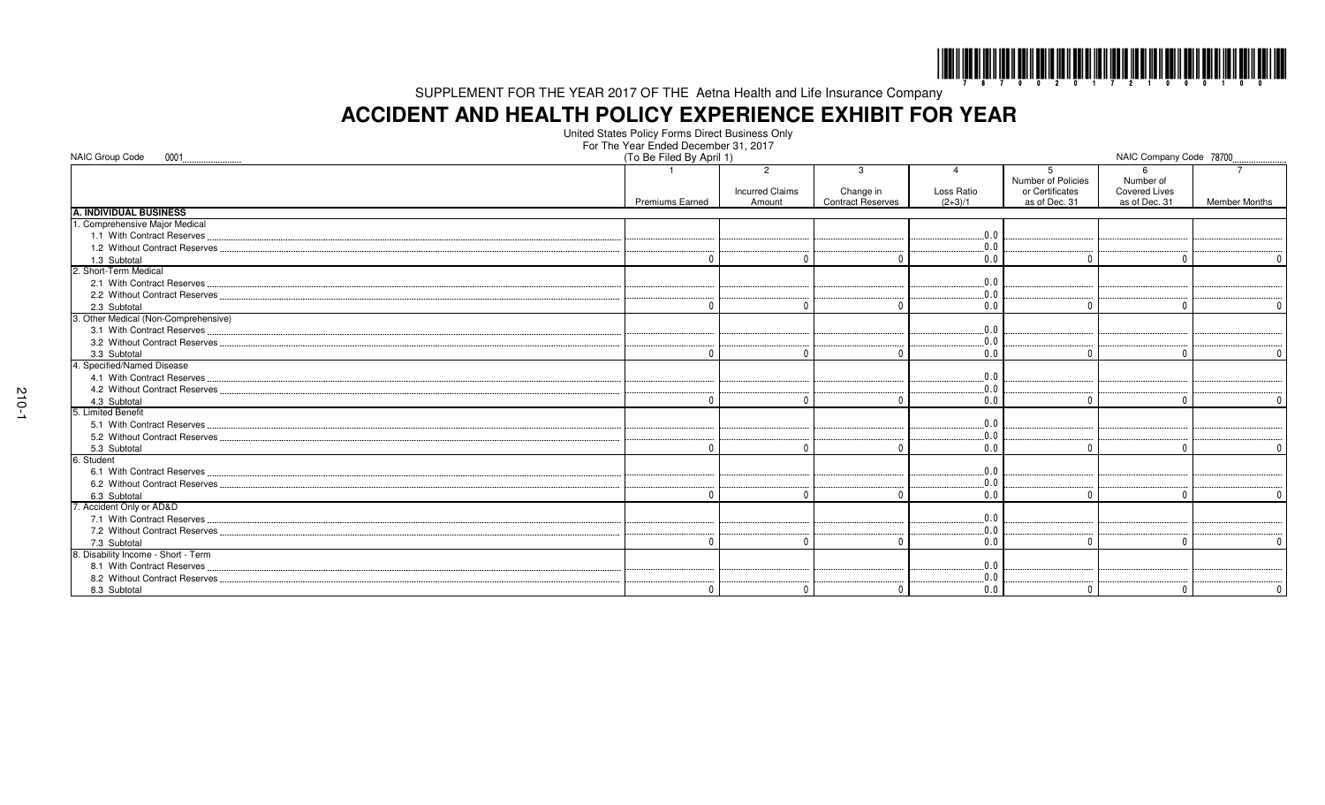

# **ACCIDENT AND HEALTH POLICY EXPERIENCE EXHIBIT FOR YEAR**

United States Policy Forms Direct Business OnlyFor The Year Ended December 31, 2017

| NAIC Group Code<br>0001              | (To Be Filed By April 1) |                                          |                          |            |                                            | NAIC Company Code 78700           |                      |
|--------------------------------------|--------------------------|------------------------------------------|--------------------------|------------|--------------------------------------------|-----------------------------------|----------------------|
|                                      |                          | $\overline{2}$<br><b>Incurred Claims</b> | 3<br>Change in           | Loss Ratio | 5<br>Number of Policies<br>or Certificates | Number of<br><b>Covered Lives</b> |                      |
|                                      | <b>Premiums Earned</b>   | Amount                                   | <b>Contract Reserves</b> | $(2+3)/1$  | as of Dec. 31                              | as of Dec. 31                     | <b>Member Months</b> |
| <b>A. INDIVIDUAL BUSINESS</b>        |                          |                                          |                          |            |                                            |                                   |                      |
| 1. Comprehensive Major Medical       |                          |                                          |                          |            |                                            |                                   |                      |
| 1.1 With Contract Reserves           |                          |                                          |                          | .0.0       |                                            |                                   |                      |
| 1.2 Without Contract Reserves        |                          |                                          |                          | 0.0        |                                            |                                   |                      |
| 1.3 Subtotal                         |                          |                                          |                          | 0.0        |                                            |                                   |                      |
| 2. Short-Term Medical                |                          |                                          |                          |            |                                            |                                   |                      |
| 2.1 With Contract Reserves           |                          |                                          |                          | 0.0        |                                            |                                   |                      |
| 2.2 Without Contract Reserves        |                          |                                          |                          | $0.0$ .    |                                            |                                   |                      |
| 2.3 Subtotal                         |                          |                                          |                          | 0.0        | $\Omega$                                   |                                   | $\Omega$             |
| 3. Other Medical (Non-Comprehensive) |                          |                                          |                          |            |                                            |                                   |                      |
| 3.1 With Contract Reserves           |                          |                                          |                          | 0.0        |                                            |                                   |                      |
| 3.2 Without Contract Reserves        |                          |                                          |                          | 0.0        |                                            |                                   |                      |
| 3.3 Subtotal                         |                          | $\sqrt{ }$                               | $\Omega$                 | 0.0        | $\Omega$                                   |                                   | $\Omega$             |
| 4. Specified/Named Disease           |                          |                                          |                          |            |                                            |                                   |                      |
| 4.1 With Contract Reserves           |                          |                                          |                          | 0.0        |                                            |                                   |                      |
| 4.2 Without Contract Reserves        |                          |                                          |                          | .0.0       |                                            |                                   |                      |
| 4.3 Subtotal                         | n                        | $\Omega$                                 | n                        | 0.0        | $\Omega$                                   | $\cap$                            | $\Omega$             |
| 5. Limited Benefit                   |                          |                                          |                          |            |                                            |                                   |                      |
| 5.1 With Contract Reserves           |                          |                                          |                          | 0.0        |                                            |                                   |                      |
| 5.2 Without Contract Reserves        |                          |                                          |                          | 0.0        |                                            |                                   |                      |
| 5.3 Subtotal                         |                          |                                          | n                        | 0.0        | $\Omega$                                   |                                   | $\Omega$             |
| 6. Student                           |                          |                                          |                          |            |                                            |                                   |                      |
| 6.1 With Contract Reserves           |                          |                                          |                          | 0.0        |                                            |                                   |                      |
| 6.2 Without Contract Reserves        |                          |                                          |                          | 0.0        |                                            |                                   |                      |
| 6.3 Subtotal                         |                          |                                          |                          | 0.0        | $\Omega$                                   |                                   | $\Omega$             |
| 7. Accident Only or AD&D             |                          |                                          |                          |            |                                            |                                   |                      |
| 7.1 With Contract Reserves           |                          |                                          |                          | 0.0        |                                            |                                   |                      |
| 7.2 Without Contract Reserves        |                          |                                          |                          | 0.0        |                                            |                                   |                      |
| 7.3 Subtotal                         |                          |                                          |                          | 0.0        | $\Omega$                                   |                                   | $\cup$               |
| 8. Disability Income - Short - Term  |                          |                                          |                          |            |                                            |                                   |                      |
| 8.1 With Contract Reserves           |                          |                                          |                          | 0.0        |                                            |                                   |                      |
| 8.2 Without Contract Reserves        |                          |                                          |                          | 0.0        |                                            |                                   |                      |
| 8.3 Subtotal                         | $\Omega$                 | $\mathbf 0$                              | 0                        | 0.0        | $\mathbf{0}$                               | $\Omega$                          | $\mathbf 0$          |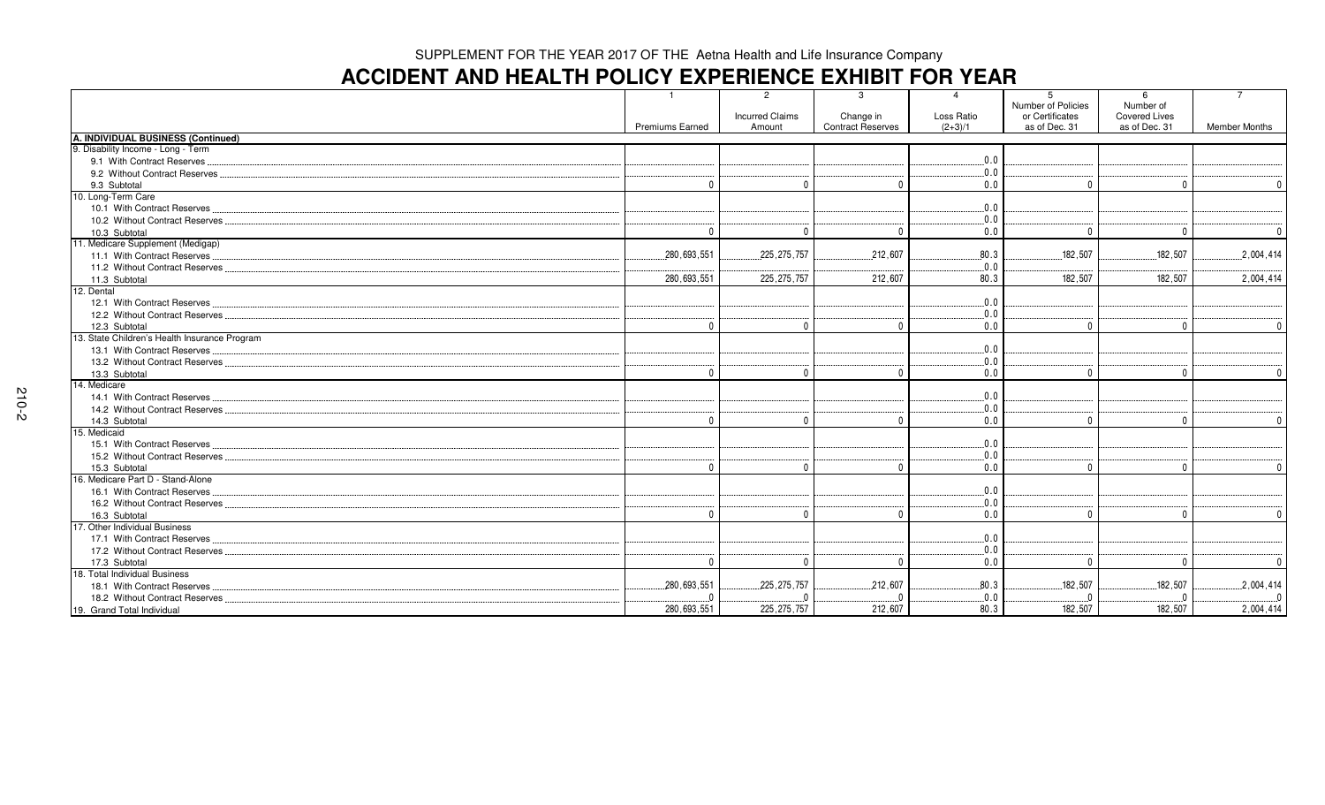# **ACCIDENT AND HEALTH POLICY EXPERIENCE EXHIBIT FOR YEAR**

|                                               | $\mathbf{1}$<br><b>Premiums Earned</b> | $\overline{2}$<br><b>Incurred Claims</b><br>Amount | -3<br>Change in<br><b>Contract Reserves</b> | $\overline{4}$<br>Loss Ratio<br>$(2+3)/1$ | 5<br>Number of Policies<br>or Certificates<br>as of Dec. 31 | 6<br>Number of<br><b>Covered Lives</b><br>as of Dec. 31 | $\overline{7}$<br><b>Member Months</b> |
|-----------------------------------------------|----------------------------------------|----------------------------------------------------|---------------------------------------------|-------------------------------------------|-------------------------------------------------------------|---------------------------------------------------------|----------------------------------------|
| A. INDIVIDUAL BUSINESS (Continued)            |                                        |                                                    |                                             |                                           |                                                             |                                                         |                                        |
| 9. Disability Income - Long - Term            |                                        |                                                    |                                             |                                           |                                                             |                                                         |                                        |
| 9.1 With Contract Reserves                    |                                        |                                                    |                                             | .0.0                                      |                                                             |                                                         |                                        |
| 9.2 Without Contract Reserves                 |                                        |                                                    |                                             | .0.0                                      |                                                             |                                                         |                                        |
| 9.3 Subtotal                                  | $\Omega$                               | $\cup$                                             | $\cap$                                      | $0.0$                                     | - 0                                                         | $\Omega$                                                | $\overline{0}$                         |
| 10. Long-Term Care                            |                                        |                                                    |                                             |                                           |                                                             |                                                         |                                        |
| 10.1 With Contract Reserves                   |                                        |                                                    |                                             | .0.0                                      |                                                             |                                                         |                                        |
| 10.2 Without Contract Reserves                |                                        |                                                    |                                             | .0.0                                      |                                                             |                                                         |                                        |
| 10.3 Subtotal                                 | $\Omega$                               | $\Omega$                                           | $\Omega$                                    | 0.0                                       | $\Omega$                                                    | $\Omega$                                                | $\mathbf 0$                            |
| 11. Medicare Supplement (Medigap)             |                                        |                                                    |                                             |                                           |                                                             |                                                         |                                        |
| 11.1 With Contract Reserves                   | .280,693,551                           | .225.275.757                                       | 212.607                                     | .80.3                                     | .182.507                                                    | .182.507                                                | .2,004,414                             |
| 11.2 Without Contract Reserves                |                                        |                                                    |                                             | .0.0                                      |                                                             |                                                         |                                        |
| 11.3 Subtotal                                 | 280,693,551                            | 225, 275, 757                                      | 212,607                                     | 80.3                                      | 182.507                                                     | 182.507                                                 | 2,004,414                              |
| 12. Dental                                    |                                        |                                                    |                                             |                                           |                                                             |                                                         |                                        |
| 12.1 With Contract Reserves                   |                                        |                                                    |                                             | .0.0                                      |                                                             |                                                         |                                        |
| 12.2 Without Contract Reserves.               |                                        |                                                    |                                             | .0.0                                      |                                                             |                                                         |                                        |
| 12.3 Subtotal                                 | $\Omega$                               | $\Omega$                                           | $\Omega$                                    | 0.0                                       | - 0                                                         | $\Omega$                                                | $\overline{0}$                         |
| 13. State Children's Health Insurance Program |                                        |                                                    |                                             |                                           |                                                             |                                                         |                                        |
| 13.1 With Contract Reserves.                  |                                        |                                                    |                                             | .0.0                                      |                                                             |                                                         |                                        |
| 13.2 Without Contract Reserves                |                                        |                                                    |                                             | .0.0                                      |                                                             |                                                         |                                        |
| 13.3 Subtotal                                 | $\Omega$                               | $\Omega$                                           | $\Omega$                                    | 0.0                                       | - 0                                                         | $\sqrt{ }$                                              | $\mathbf 0$                            |
| 14. Medicare                                  |                                        |                                                    |                                             |                                           |                                                             |                                                         |                                        |
| 14.1 With Contract Reserves                   |                                        |                                                    |                                             | .0.0                                      |                                                             |                                                         |                                        |
| 14.2 Without Contract Reserves                |                                        |                                                    |                                             | .0.0                                      |                                                             |                                                         |                                        |
| 14.3 Subtotal                                 | $\Omega$                               | $\Omega$                                           | $\Omega$                                    | $0.0$                                     | $\Omega$                                                    | $\Omega$                                                | $\mathbf 0$                            |
| 15. Medicaid                                  |                                        |                                                    |                                             |                                           |                                                             |                                                         |                                        |
| 15.1 With Contract Reserves                   |                                        |                                                    |                                             | .0.0                                      |                                                             |                                                         |                                        |
| 15.2 Without Contract Reserves                |                                        |                                                    |                                             | .0.0                                      |                                                             |                                                         |                                        |
| 15.3 Subtotal                                 | $\Omega$                               | $\Omega$                                           | $\Omega$                                    | 0.0                                       | - 0                                                         | $\Omega$                                                | $\overline{0}$                         |
| 16. Medicare Part D - Stand-Alone             |                                        |                                                    |                                             |                                           |                                                             |                                                         |                                        |
| 16.1 With Contract Reserves                   |                                        |                                                    |                                             | .0.0                                      |                                                             |                                                         |                                        |
| 16.2 Without Contract Reserves                |                                        |                                                    |                                             | .0.0                                      |                                                             |                                                         |                                        |
| 16.3 Subtotal                                 | $\Omega$                               | $\Omega$                                           | $\Omega$                                    | 0.0                                       | - 0                                                         | $\Omega$                                                | $\mathbf{0}$                           |
| 17. Other Individual Business                 |                                        |                                                    |                                             |                                           |                                                             |                                                         |                                        |
| 17.1 With Contract Reserves                   |                                        |                                                    |                                             | .0.0                                      |                                                             |                                                         |                                        |
| 17.2 Without Contract Reserves                |                                        |                                                    |                                             | .0.0                                      |                                                             |                                                         |                                        |
| 17.3 Subtotal                                 | $\Omega$                               | $\Omega$                                           | $\Omega$                                    | 0.0                                       | $\Omega$                                                    | $\Omega$                                                | $\overline{0}$                         |
| 18. Total Individual Business                 |                                        |                                                    |                                             |                                           |                                                             |                                                         |                                        |
| 18.1 With Contract Reserves                   | .280,693,551                           | .225, 275, 757                                     | .212,607                                    | .80.3                                     | .182,507                                                    | .182,507                                                | .2,004,414                             |
| 18.2 Without Contract Reserves                | $\Omega$                               | $\Omega$                                           |                                             | .0.0                                      | - 0                                                         | $\sqrt{ }$                                              | $\overline{0}$                         |
| 19. Grand Total Individual                    | 280,693,551                            | 225, 275, 757                                      | 212,607                                     | 80.3                                      | 182,507                                                     | 182,507                                                 | 2,004,414                              |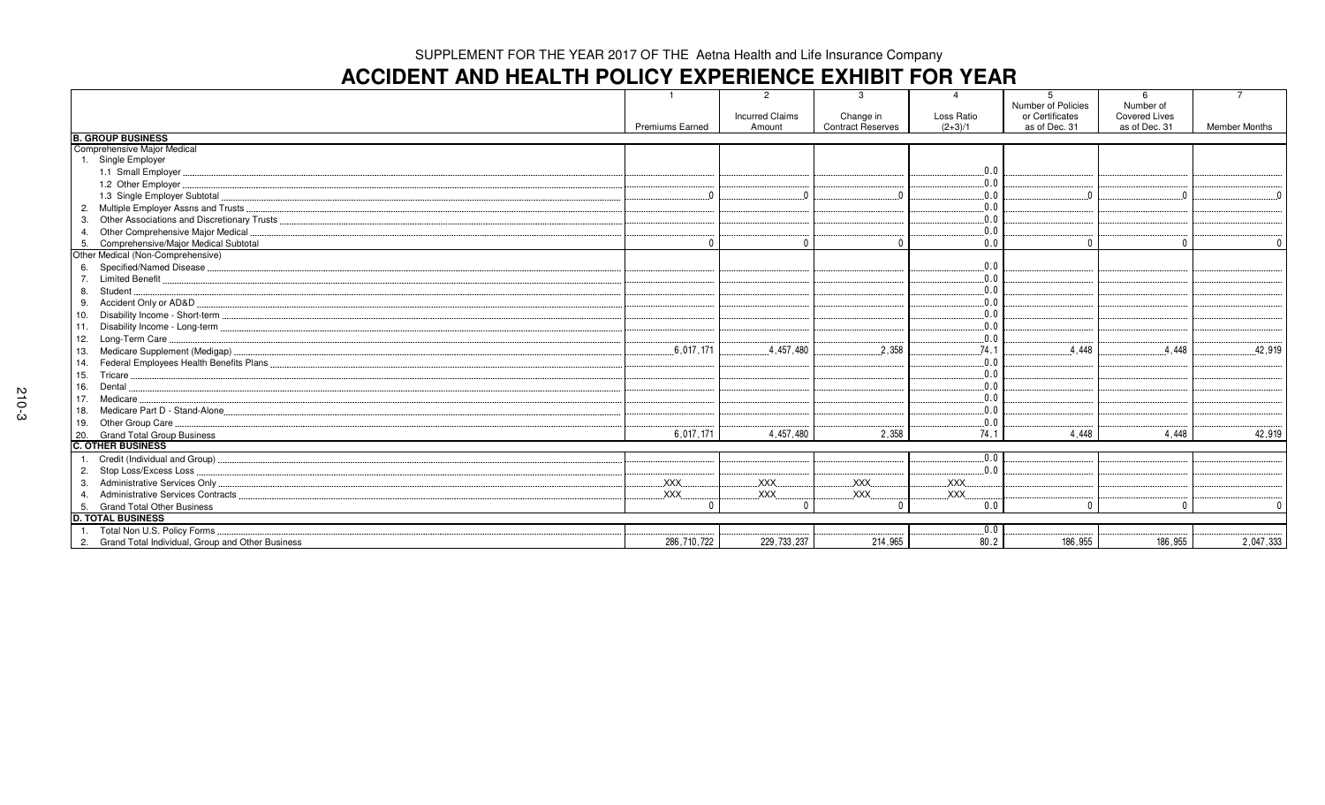# **ACCIDENT AND HEALTH POLICY EXPERIENCE EXHIBIT FOR YEAR**

|                                                     |                        | $\mathcal{P}$          | 3                        | $\Delta$   | 5                                            | 6                                 |                      |
|-----------------------------------------------------|------------------------|------------------------|--------------------------|------------|----------------------------------------------|-----------------------------------|----------------------|
|                                                     |                        | <b>Incurred Claims</b> | Change in                | Loss Ratio | <b>Number of Policies</b><br>or Certificates | Number of<br><b>Covered Lives</b> |                      |
|                                                     | <b>Premiums Earned</b> | Amount                 | <b>Contract Reserves</b> | $(2+3)/1$  | as of Dec. 31                                | as of Dec. 31                     | <b>Member Months</b> |
| <b>B. GROUP BUSINESS</b>                            |                        |                        |                          |            |                                              |                                   |                      |
| Comprehensive Major Medical                         |                        |                        |                          |            |                                              |                                   |                      |
| 1. Single Employer                                  |                        |                        |                          |            |                                              |                                   |                      |
| 1.1 Small Employer                                  |                        |                        |                          | .0.0       |                                              |                                   |                      |
| 1.2 Other Employer                                  |                        |                        |                          | 0.0        |                                              |                                   |                      |
| 1.3 Single Employer Subtotal                        |                        |                        |                          | 0.0        |                                              |                                   | $\Omega$             |
| 2. Multiple Employer Assns and Trusts.              |                        |                        |                          | .0.0       |                                              |                                   |                      |
|                                                     |                        |                        |                          | 0.0        |                                              |                                   |                      |
| 4. Other Comprehensive Major Medical                |                        |                        |                          | 0.0        |                                              |                                   |                      |
| 5. Comprehensive/Major Medical Subtotal             | $\Omega$               | $\Omega$               | $\Omega$                 | 0.0        | $\sqrt{ }$                                   | $\Omega$                          | $\Omega$             |
| Other Medical (Non-Comprehensive)                   |                        |                        |                          |            |                                              |                                   |                      |
| 6. Specified/Named Disease                          |                        |                        |                          | .0.0       |                                              |                                   |                      |
| 7. Limited Benefit                                  |                        |                        |                          | 0.0        |                                              |                                   |                      |
| 8. Student                                          |                        |                        |                          | 0.0        |                                              |                                   |                      |
| 9. Accident Only or AD&D                            |                        |                        |                          | .0.0       |                                              |                                   |                      |
|                                                     |                        |                        |                          | 0.0        |                                              |                                   |                      |
|                                                     |                        |                        |                          | 0.0        |                                              |                                   |                      |
| 12. Long-Term Care                                  |                        |                        |                          | 0.0        |                                              |                                   |                      |
| 13. Medicare Supplement (Medigap)                   | .6,017,171             | .4,457,480             | .2.358                   | .74.1      | 4.448                                        | 4.448                             | .42,919              |
| 14. Federal Employees Health Benefits Plans.        |                        |                        |                          | .0.0       |                                              |                                   |                      |
| 15. Tricare                                         |                        |                        |                          | 0.0        |                                              |                                   |                      |
| 16. Dental.                                         |                        |                        |                          | 0.0        |                                              |                                   |                      |
| 17. Medicare                                        |                        |                        |                          | 0.0        |                                              |                                   |                      |
| 18. Medicare Part D - Stand-Alone                   |                        |                        |                          | 0.0        |                                              |                                   |                      |
| 19. Other Group Care.                               |                        |                        |                          | 0.0        |                                              |                                   |                      |
| 20. Grand Total Group Business                      | 6,017,171              | 4,457,480              | 2,358                    | 74.1       | 4.448                                        | 4.448                             | 42,919               |
| <b>C. OTHER BUSINESS</b>                            |                        |                        |                          |            |                                              |                                   |                      |
| Credit (Individual and Group)<br>1.                 |                        |                        |                          | 0.0        |                                              |                                   |                      |
| 2. Stop Loss/Excess Loss.                           |                        |                        |                          | 0.0        |                                              |                                   |                      |
| 3. Administrative Services Only                     | XXX.                   | XXX.                   | XXX.                     | <b>XXX</b> |                                              |                                   |                      |
| 4. Administrative Services Contracts                | <b>XXX</b>             | XXX                    | <b>XXX</b>               | <b>XXX</b> |                                              |                                   |                      |
| 5. Grand Total Other Business                       | $\Omega$               | $\Omega$               | $\cap$                   | 0.0        |                                              | $\Omega$                          | $\mathbf{0}$         |
| <b>D. TOTAL BUSINESS</b>                            |                        |                        |                          |            |                                              |                                   |                      |
| 1. Total Non U.S. Policy Forms                      |                        |                        |                          | $0.0$ .    |                                              |                                   |                      |
| 2. Grand Total Individual, Group and Other Business | 286.710.722            | 229,733,237            | 214,965                  | 80.2       | 186.955                                      | 186.955                           | 2,047,333            |
|                                                     |                        |                        |                          |            |                                              |                                   |                      |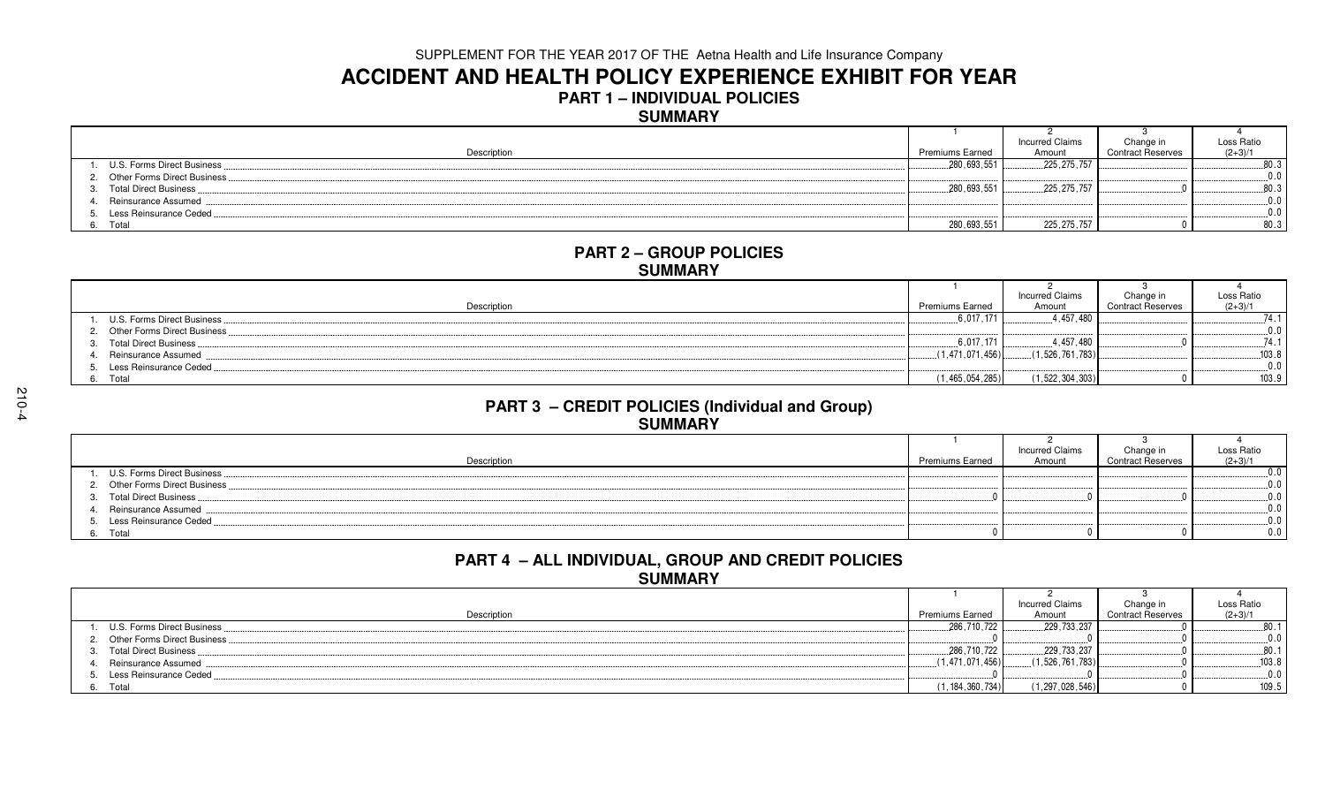## **ACCIDENT AND HEALTH POLICY EXPERIENCE EXHIBIT FOR YEAR**

**PART 1 – INDIVIDUAL POLICIES**

### **SUMMARY**

|                                |                        | <b>Incurred Claims</b> | Change in                | Loss Ratio |
|--------------------------------|------------------------|------------------------|--------------------------|------------|
| Description                    | <b>Premiums Earned</b> | Amount                 | <b>Contract Reserves</b> | $(2+3)/1$  |
| U.S. Forms Direct Business.    | .280,693,551           | .225, 275, 757         |                          | 80.3       |
| 2. Other Forms Direct Business |                        |                        |                          | 0.0        |
| 3. Total Direct Business       | .280,693,551           | .225, 275, 757         |                          | 80.        |
| 4. Reinsurance Assumed         |                        |                        |                          | 0 O        |
| 5. Less Reinsurance Ceded      |                        |                        |                          | 0 O        |
| Total<br>6.                    | 280,693,551            | 225, 275, 757          |                          | 80.3       |

#### **PART 2 – GROUP POLICIESSUMMARY**

|                                 |                        | <b>Incurred Claims</b> | Change in                | Loss Ratio    |
|---------------------------------|------------------------|------------------------|--------------------------|---------------|
| Description                     | <b>Premiums Earned</b> | Amount                 | <b>Contract Reserves</b> | $(2+3)/1$     |
| 1. U.S. Forms Direct Business.  | .6,017,171             | 1.457.480              |                          | 74 1          |
| 2. Other Forms Direct Business. |                        |                        |                          |               |
| 3. Total Direct Business        | 6.017.171              | .457.480               |                          | 74.           |
| Reinsurance Assumed             | (1.471.071.456)        | (1.526, 761, 783)      |                          | 103.8         |
| 5. Less Reinsurance Ceded       |                        |                        |                          | $\cap$ $\cap$ |
| 6. Total                        | (1, 465, 054, 285)     | (1, 522, 304, 303)     |                          | 103.9         |

#### **PART 3 – CREDIT POLICIES (Individual and Group)SUMMARY**

|                                |                 | <b>Incurred Claims</b> | Change in                | Loss Ratio |
|--------------------------------|-----------------|------------------------|--------------------------|------------|
| Description                    | Premiums Earned | Amount                 | <b>Contract Reserves</b> | $(2+3)/1$  |
| 1. U.S. Forms Direct Business  |                 |                        |                          |            |
| 2. Other Forms Direct Business |                 |                        |                          |            |
| 3. Total Direct Business       |                 |                        |                          |            |
| 4. Reinsurance Assumed         |                 |                        |                          |            |
| 5. Less Reinsurance Ceded      |                 |                        |                          |            |
| 6. Total                       |                 |                        |                          |            |

## **PART 4 – ALL INDIVIDUAL, GROUP AND CREDIT POLICIESSUMMARY**

|                                |                        | <b>Incurred Claims</b> | Change in                | Loss Ratio         |
|--------------------------------|------------------------|------------------------|--------------------------|--------------------|
| Description                    | <b>Premiums Earned</b> | Amount                 | <b>Contract Reserves</b> | $(2+3)/1$          |
| U.S. Forms Direct Business.    | .,286,710,722          | ,229,733,237           |                          | $0^{\circ}$<br>ου. |
| 2. Other Forms Direct Business |                        |                        |                          |                    |
| 3. Total Direct Business       | .286,710,722           | .229,733,237           |                          | 80.7               |
| Reinsurance Assumed            | (1.471.071.456)        | (1,526,761,783)        |                          | 103.8              |
| Less Reinsurance Ceded         |                        |                        |                          |                    |
| Total<br>6.                    | (1, 184, 360, 734)     | (1, 297, 028, 546)     |                          | 109.5              |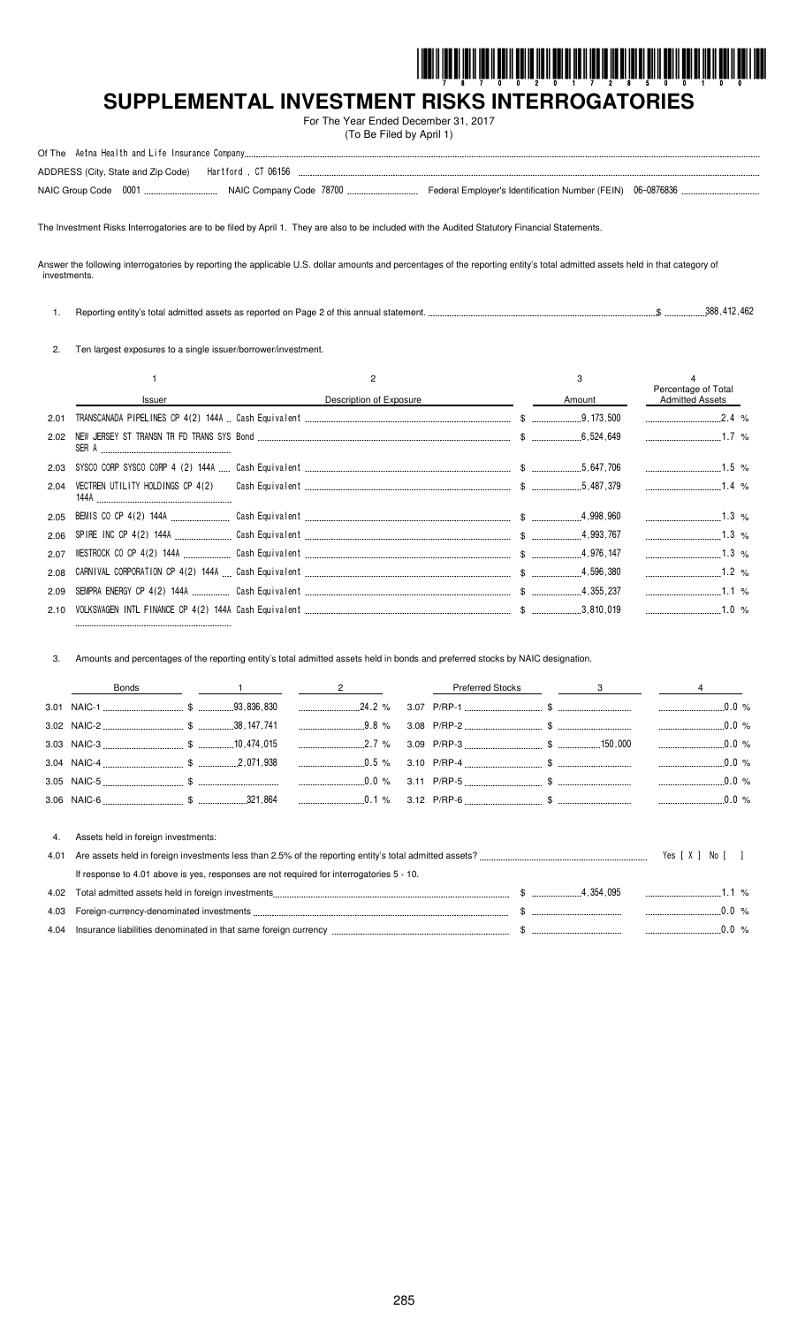

# **SUPPLEMENTAL INVESTMENT RISKS INTERROGATORIES**

For The Year Ended December 31, 2017 (To Be Filed by April 1)

The Investment Risks Interrogatories are to be filed by April 1. They are also to be included with the Audited Statutory Financial Statements.

Answer the following interrogatories by reporting the applicable U.S. dollar amounts and percentages of the reporting entity's total admitted assets held in that category of investments.

1. Reporting entity's total admitted assets as reported on Page 2 of this annual statement. \$ 388,412,462

2. Ten largest exposures to a single issuer/borrower/investment.

|      |        |                         |        | Percentage of Total    |  |
|------|--------|-------------------------|--------|------------------------|--|
|      | Issuer | Description of Exposure | Amount | <b>Admitted Assets</b> |  |
| 2.01 |        |                         |        | $2.4\%$                |  |
| 2.02 |        |                         |        |                        |  |
| 2.03 |        |                         |        | $1.5\%$                |  |
| 2.04 | 144A   |                         |        |                        |  |
|      |        |                         |        |                        |  |
|      |        |                         |        |                        |  |
| 2.07 |        |                         |        | $1.3\%$                |  |
| 2.08 |        |                         |        |                        |  |
| 2.09 |        |                         |        |                        |  |
|      |        |                         |        |                        |  |

3. Amounts and percentages of the reporting entity's total admitted assets held in bonds and preferred stocks by NAIC designation.

|      | <b>Bonds</b>                        |  |                                                                                          | <b>Preferred Stocks</b> |  |                 |
|------|-------------------------------------|--|------------------------------------------------------------------------------------------|-------------------------|--|-----------------|
|      |                                     |  |                                                                                          |                         |  | .0.0%           |
|      |                                     |  |                                                                                          |                         |  |                 |
|      |                                     |  | $2.7\%$                                                                                  |                         |  | $\ldots$ 0.0 %  |
|      |                                     |  |                                                                                          |                         |  |                 |
|      |                                     |  |                                                                                          |                         |  |                 |
|      |                                     |  |                                                                                          |                         |  |                 |
|      |                                     |  |                                                                                          |                         |  |                 |
| 4.   | Assets held in foreign investments: |  |                                                                                          |                         |  |                 |
| 4.01 |                                     |  |                                                                                          |                         |  | Yes [ X ]<br>No |
|      |                                     |  | If response to 4.01 above is yes, responses are not required for interrogatories 5 - 10. |                         |  |                 |
| 4.02 |                                     |  |                                                                                          |                         |  | 1 %             |
|      |                                     |  |                                                                                          |                         |  | $\sim$ 0.0 %    |

4.04 Insurance liabilities denominated in that same foreign currency \$ 0.0 %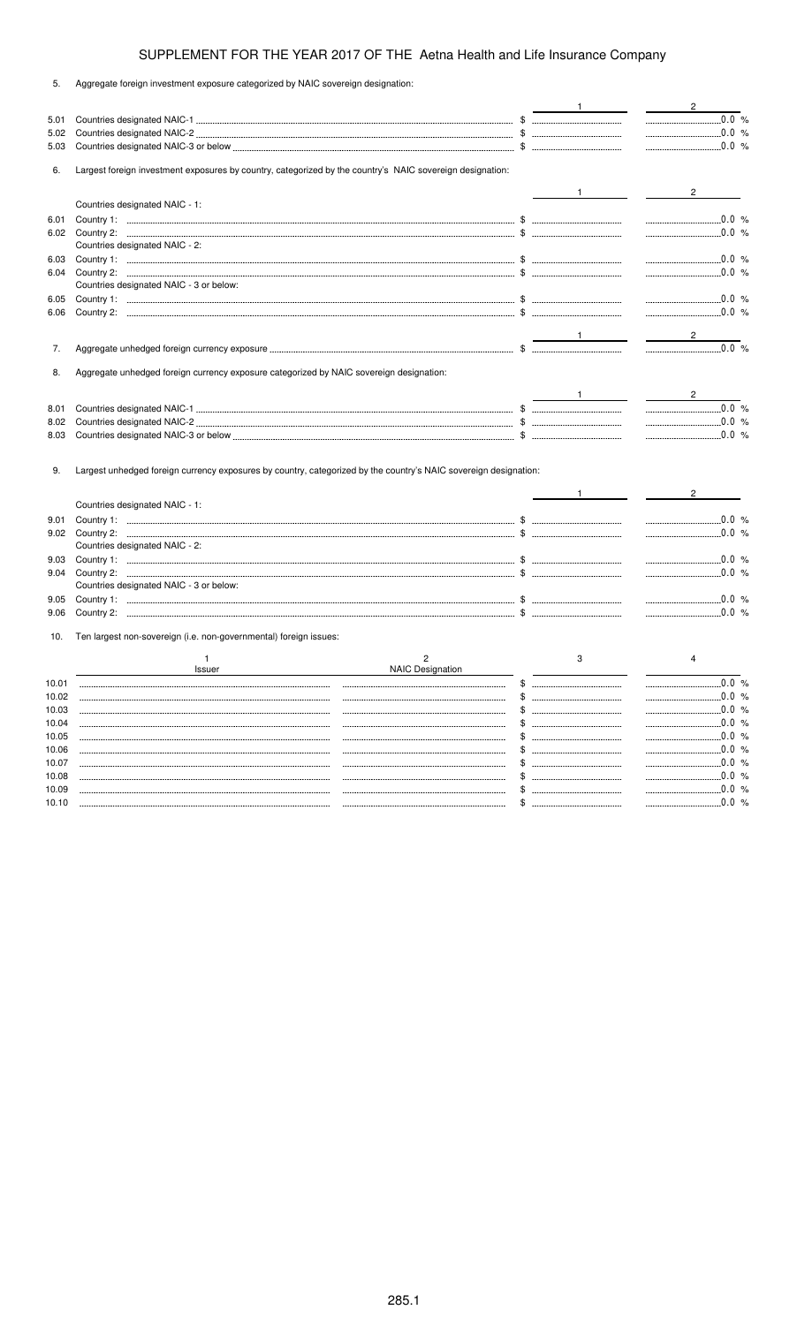| 5.    | Aggregate foreign investment exposure categorized by NAIC sovereign designation:                                 |                                                                                                                                                                                                                                                                                                                     |                                           |
|-------|------------------------------------------------------------------------------------------------------------------|---------------------------------------------------------------------------------------------------------------------------------------------------------------------------------------------------------------------------------------------------------------------------------------------------------------------|-------------------------------------------|
|       |                                                                                                                  |                                                                                                                                                                                                                                                                                                                     | $\overline{2}$                            |
| 5.01  |                                                                                                                  |                                                                                                                                                                                                                                                                                                                     | $\ldots$ 0.0 %                            |
| 5.02  |                                                                                                                  |                                                                                                                                                                                                                                                                                                                     | $\frac{1}{2}$ 0.0 %                       |
| 5.03  |                                                                                                                  |                                                                                                                                                                                                                                                                                                                     |                                           |
| 6.    | Largest foreign investment exposures by country, categorized by the country's NAIC sovereign designation:        |                                                                                                                                                                                                                                                                                                                     |                                           |
|       |                                                                                                                  | $1$ and $1$ and $1$                                                                                                                                                                                                                                                                                                 |                                           |
|       | Countries designated NAIC - 1:                                                                                   |                                                                                                                                                                                                                                                                                                                     |                                           |
| 6.01  |                                                                                                                  |                                                                                                                                                                                                                                                                                                                     | $\ldots$ 0.0 %                            |
| 6.02  |                                                                                                                  |                                                                                                                                                                                                                                                                                                                     |                                           |
|       | Countries designated NAIC - 2:                                                                                   |                                                                                                                                                                                                                                                                                                                     |                                           |
| 6.03  |                                                                                                                  |                                                                                                                                                                                                                                                                                                                     | $\ldots$ 0.0 %                            |
| 6.04  |                                                                                                                  |                                                                                                                                                                                                                                                                                                                     |                                           |
|       | Countries designated NAIC - 3 or below:                                                                          |                                                                                                                                                                                                                                                                                                                     |                                           |
| 6.05  |                                                                                                                  |                                                                                                                                                                                                                                                                                                                     |                                           |
| 6.06  |                                                                                                                  |                                                                                                                                                                                                                                                                                                                     | $\ldots$ 0.0 %                            |
|       |                                                                                                                  |                                                                                                                                                                                                                                                                                                                     |                                           |
|       |                                                                                                                  |                                                                                                                                                                                                                                                                                                                     | $\frac{2}{\sqrt{2}}$<br>$\frac{1}{2}$     |
| 7.    |                                                                                                                  |                                                                                                                                                                                                                                                                                                                     |                                           |
| 8.    | Aggregate unhedged foreign currency exposure categorized by NAIC sovereign designation:                          |                                                                                                                                                                                                                                                                                                                     |                                           |
|       |                                                                                                                  |                                                                                                                                                                                                                                                                                                                     |                                           |
|       |                                                                                                                  | $\frac{1}{2}$ $\frac{1}{2}$ $\frac{1}{2}$ $\frac{1}{2}$ $\frac{1}{2}$ $\frac{1}{2}$ $\frac{1}{2}$ $\frac{1}{2}$ $\frac{1}{2}$ $\frac{1}{2}$ $\frac{1}{2}$ $\frac{1}{2}$ $\frac{1}{2}$ $\frac{1}{2}$ $\frac{1}{2}$ $\frac{1}{2}$ $\frac{1}{2}$ $\frac{1}{2}$ $\frac{1}{2}$ $\frac{1}{2}$ $\frac{1}{2}$ $\frac{1}{2}$ | $\overline{2}$                            |
| 8.01  |                                                                                                                  |                                                                                                                                                                                                                                                                                                                     |                                           |
| 8.02  |                                                                                                                  |                                                                                                                                                                                                                                                                                                                     | $\ldots$ 0.0 %                            |
| 8.03  |                                                                                                                  |                                                                                                                                                                                                                                                                                                                     |                                           |
|       |                                                                                                                  |                                                                                                                                                                                                                                                                                                                     |                                           |
|       |                                                                                                                  |                                                                                                                                                                                                                                                                                                                     |                                           |
| 9.    | Largest unhedged foreign currency exposures by country, categorized by the country's NAIC sovereign designation: |                                                                                                                                                                                                                                                                                                                     |                                           |
|       |                                                                                                                  |                                                                                                                                                                                                                                                                                                                     |                                           |
|       | Countries designated NAIC - 1:                                                                                   |                                                                                                                                                                                                                                                                                                                     |                                           |
| 9.01  |                                                                                                                  |                                                                                                                                                                                                                                                                                                                     | $\ldots$ 0.0 %                            |
| 9.02  |                                                                                                                  |                                                                                                                                                                                                                                                                                                                     | $\frac{1}{2}$ 0.0 %                       |
|       | Countries designated NAIC - 2:                                                                                   |                                                                                                                                                                                                                                                                                                                     |                                           |
| 9.03  |                                                                                                                  |                                                                                                                                                                                                                                                                                                                     | $\ldots$ 0.0 %                            |
| 9.04  |                                                                                                                  |                                                                                                                                                                                                                                                                                                                     |                                           |
|       | Countries designated NAIC - 3 or below:                                                                          |                                                                                                                                                                                                                                                                                                                     |                                           |
| 9.05  |                                                                                                                  |                                                                                                                                                                                                                                                                                                                     |                                           |
| 9.06  |                                                                                                                  |                                                                                                                                                                                                                                                                                                                     |                                           |
| 10.   | Ten largest non-sovereign (i.e. non-governmental) foreign issues:                                                |                                                                                                                                                                                                                                                                                                                     |                                           |
|       |                                                                                                                  |                                                                                                                                                                                                                                                                                                                     |                                           |
|       | 2<br>1<br><b>NAIC Designation</b><br><b>Issuer</b>                                                               | 3                                                                                                                                                                                                                                                                                                                   |                                           |
| 10.01 |                                                                                                                  |                                                                                                                                                                                                                                                                                                                     |                                           |
| 10.02 |                                                                                                                  | \$                                                                                                                                                                                                                                                                                                                  | .0.0%<br>________________________________ |
| 10.03 |                                                                                                                  |                                                                                                                                                                                                                                                                                                                     | 0.0%<br>------------------------------    |
| 10.04 |                                                                                                                  |                                                                                                                                                                                                                                                                                                                     | 0.0 %                                     |
| 10.05 |                                                                                                                  |                                                                                                                                                                                                                                                                                                                     | .0.0%                                     |
| 10.06 |                                                                                                                  |                                                                                                                                                                                                                                                                                                                     | .0.0%                                     |
| 10.07 |                                                                                                                  |                                                                                                                                                                                                                                                                                                                     | .0.0%                                     |
| 10.08 |                                                                                                                  |                                                                                                                                                                                                                                                                                                                     | 0.0 %                                     |
| 10.09 |                                                                                                                  | S                                                                                                                                                                                                                                                                                                                   | 0.0 %                                     |
|       |                                                                                                                  |                                                                                                                                                                                                                                                                                                                     |                                           |

10.10 \$ 0.0 %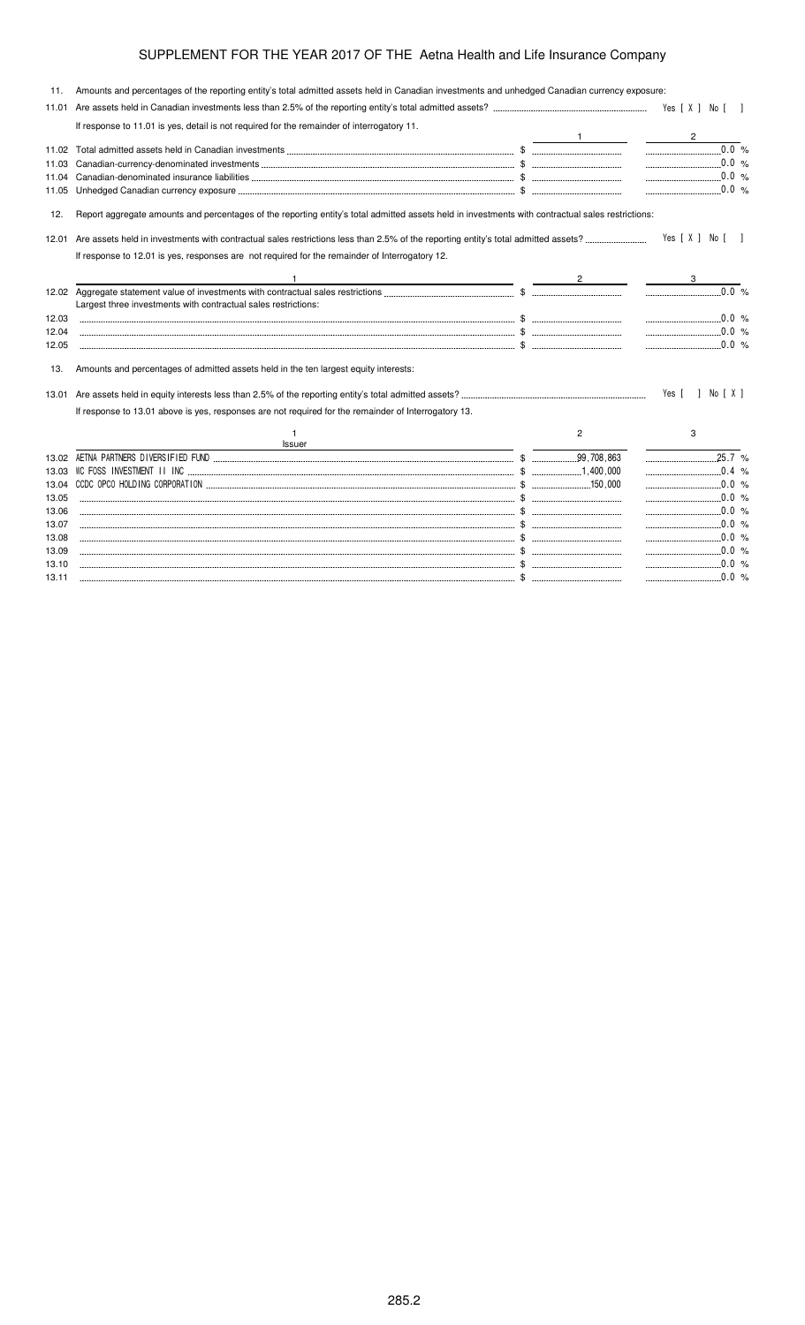| 11.   | Amounts and percentages of the reporting entity's total admitted assets held in Canadian investments and unhedged Canadian currency exposure:     |   |                     |  |
|-------|---------------------------------------------------------------------------------------------------------------------------------------------------|---|---------------------|--|
|       |                                                                                                                                                   |   |                     |  |
|       | If response to 11.01 is yes, detail is not required for the remainder of interrogatory 11.                                                        |   |                     |  |
|       |                                                                                                                                                   |   | $\overline{2}$      |  |
| 11.02 |                                                                                                                                                   |   | $0.0\%$             |  |
| 11.03 |                                                                                                                                                   |   |                     |  |
| 11.04 |                                                                                                                                                   |   |                     |  |
| 11.05 |                                                                                                                                                   |   | $\ldots$ 0.0 %      |  |
| 12.   | Report aggregate amounts and percentages of the reporting entity's total admitted assets held in investments with contractual sales restrictions: |   |                     |  |
|       |                                                                                                                                                   |   | Yes [ X ] No [ ]    |  |
|       | If response to 12.01 is yes, responses are not required for the remainder of Interrogatory 12.                                                    |   |                     |  |
|       |                                                                                                                                                   |   |                     |  |
|       | Largest three investments with contractual sales restrictions:                                                                                    |   |                     |  |
| 12.03 |                                                                                                                                                   |   |                     |  |
| 12.04 |                                                                                                                                                   |   | $\ldots$ 0.0 %      |  |
| 12.05 | $\cdots$ $\ddot{\text{}}$                                                                                                                         |   |                     |  |
| 13.   | Amounts and percentages of admitted assets held in the ten largest equity interests:                                                              |   |                     |  |
|       |                                                                                                                                                   |   | Yes [ ] No [ X ]    |  |
|       | If response to 13.01 above is yes, responses are not required for the remainder of Interrogatory 13.                                              |   |                     |  |
|       | Issuer                                                                                                                                            | 2 | 3                   |  |
| 13.02 |                                                                                                                                                   |   | $25.7\%$            |  |
| 13.03 |                                                                                                                                                   |   | $\ldots$ 0.4 %      |  |
| 13.04 |                                                                                                                                                   |   |                     |  |
| 13.05 |                                                                                                                                                   |   |                     |  |
| 13.06 |                                                                                                                                                   |   | $\ldots$ 0.0 %      |  |
| 13.07 |                                                                                                                                                   |   | $\ldots$ 0.0 %      |  |
| 13.08 |                                                                                                                                                   |   | $\ldots$ 0.0 %      |  |
| 13.09 |                                                                                                                                                   |   | $\ldots$ 0.0 %      |  |
| 13.10 |                                                                                                                                                   |   | $\frac{1}{2}$ 0.0 % |  |

13.11 \$ 0.0 %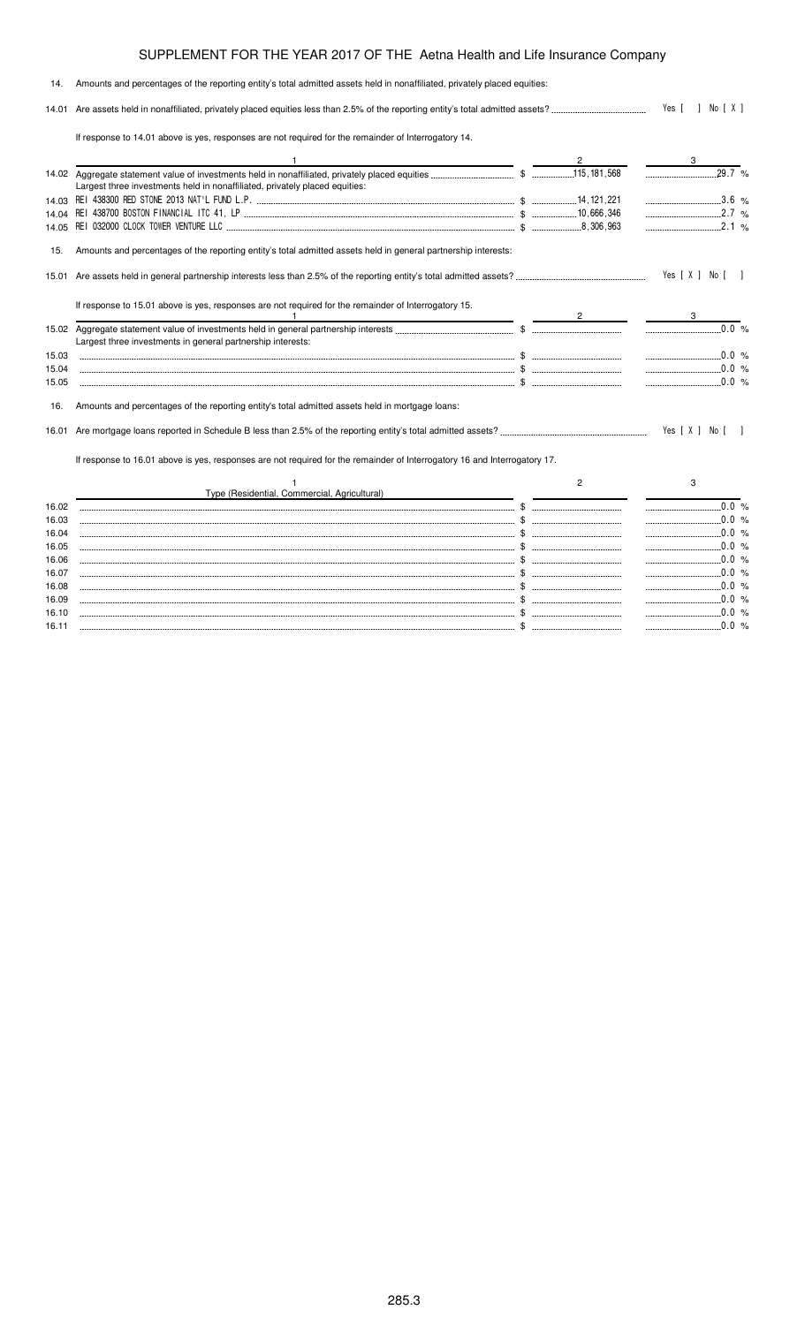| 14.   | Amounts and percentages of the reporting entity's total admitted assets held in nonaffiliated, privately placed equities: |                |                  |  |
|-------|---------------------------------------------------------------------------------------------------------------------------|----------------|------------------|--|
|       |                                                                                                                           |                | Yes [ ] No [ X ] |  |
|       | If response to 14.01 above is yes, responses are not required for the remainder of Interrogatory 14.                      |                |                  |  |
|       |                                                                                                                           |                |                  |  |
|       |                                                                                                                           |                | $29.7^\circ$ %   |  |
|       | Largest three investments held in nonaffiliated, privately placed equities:                                               |                |                  |  |
|       |                                                                                                                           |                |                  |  |
|       |                                                                                                                           |                | 2.7%             |  |
| 14.05 |                                                                                                                           |                | $\ldots$ 2.1 %   |  |
| 15.   | Amounts and percentages of the reporting entity's total admitted assets held in general partnership interests:            |                |                  |  |
| 15.01 |                                                                                                                           |                | Yes [ X ] No [ ] |  |
|       | If response to 15.01 above is yes, responses are not required for the remainder of Interrogatory 15.                      |                |                  |  |
|       |                                                                                                                           |                | $\ldots$ 0.0 %   |  |
|       | Largest three investments in general partnership interests:                                                               |                |                  |  |
| 15.03 |                                                                                                                           |                |                  |  |
| 15.04 |                                                                                                                           |                |                  |  |
| 15.05 |                                                                                                                           |                | $\ldots$ 0.0 %   |  |
| 16.   | Amounts and percentages of the reporting entity's total admitted assets held in mortgage loans:                           |                |                  |  |
| 16.01 |                                                                                                                           |                | Yes [ X ] No [   |  |
|       | If response to 16.01 above is yes, responses are not required for the remainder of Interrogatory 16 and Interrogatory 17. |                |                  |  |
|       | Type (Residential, Commercial, Agricultural)                                                                              | $\overline{2}$ | 3                |  |
| 16.02 |                                                                                                                           |                |                  |  |
| 16.03 |                                                                                                                           |                |                  |  |
| 16.04 |                                                                                                                           |                | $\ldots$ 0.0 %   |  |
| 16.05 |                                                                                                                           |                |                  |  |
| 16.06 |                                                                                                                           |                |                  |  |
| 16.07 |                                                                                                                           |                |                  |  |
| 16.08 |                                                                                                                           |                | $\ldots$ 0.0 %   |  |
| 16.09 |                                                                                                                           |                |                  |  |

16.10 \$ 0.0 % 16.11 \$ 0.0 %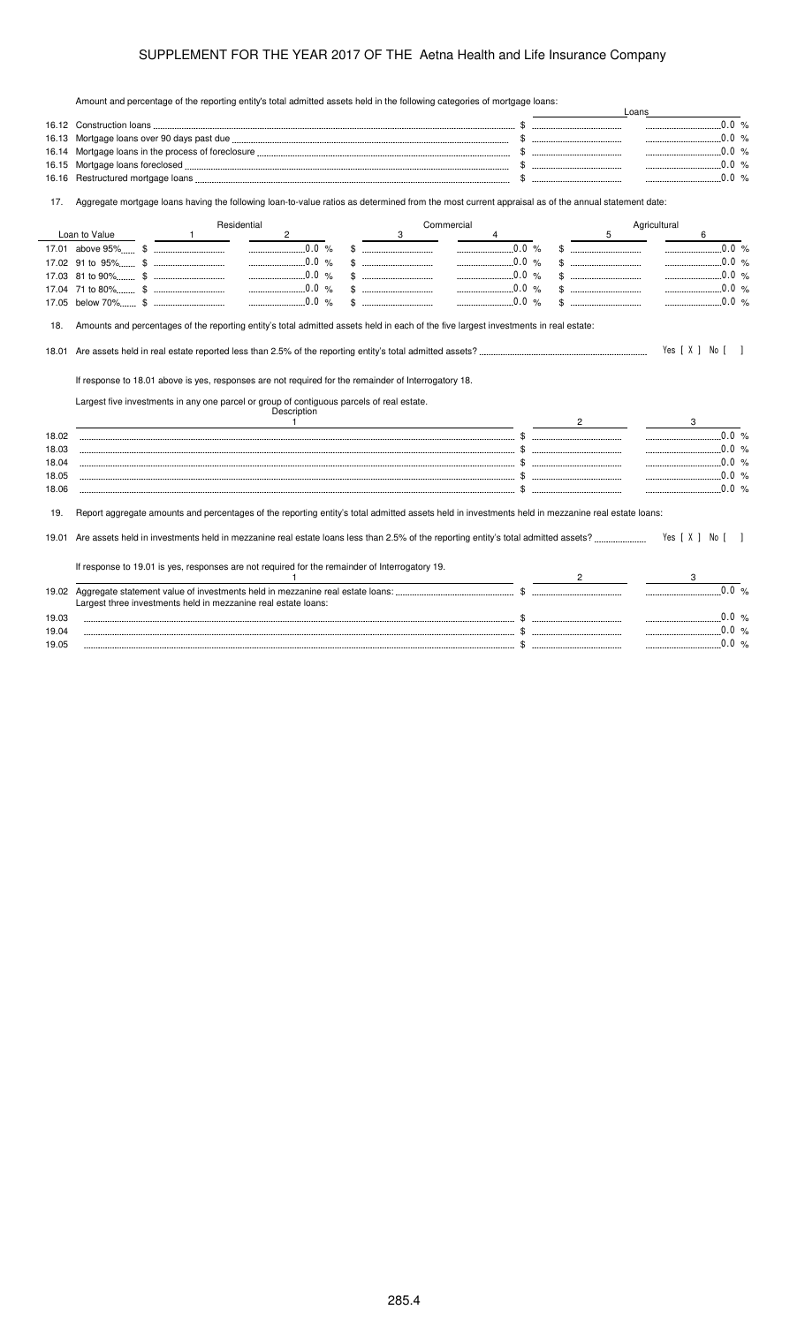Amount and percentage of the reporting entity's total admitted assets held in the following categories of mortgage loans:

| $\ldots$ 0.0 %<br>16.13<br>16.14<br>16.15<br>16.16<br>Aggregate mortgage loans having the following loan-to-value ratios as determined from the most current appraisal as of the annual statement date:<br>17.<br>Residential<br>Commercial<br>Agricultural<br>Loan to Value<br>$\mathbf{2}$<br>3<br>5<br>6<br>$\mathbf{1}$<br>$\ldots$ 0.0 %<br>$\ldots$ 0.0 %<br>$\ldots$ 0.0 %<br>$\ldots$ 0.0 %<br>0.0 %<br>$\frac{1}{2}$ .0.0 %<br>-----------------------<br>$\frac{1}{2}$ 0.0 %<br>$\ldots$ 0.0 %<br>$\ldots$ 0.0 %<br>17.05<br>Amounts and percentages of the reporting entity's total admitted assets held in each of the five largest investments in real estate:<br>18.<br>Yes [ X ] No [<br>18.01<br>If response to 18.01 above is yes, responses are not required for the remainder of Interrogatory 18.<br>Largest five investments in any one parcel or group of contiguous parcels of real estate.<br>Description<br>$\frac{1}{2}$ . The set of the set of the set of the set of the set of the set of the set of the set of the set of the set of the set of the set of the set of the set of the set of the set of the set of the set of the set of<br>3<br>18.02<br>$\ldots$ 0.0 %<br>18.03<br>$\cdots$ $\cdots$ $\cdots$ $\cdots$ $\cdots$ $\cdots$ $\cdots$ $\cdots$ $\cdots$ $\cdots$ $\cdots$ $\cdots$ $\cdots$ $\cdots$ $\cdots$ $\cdots$ $\cdots$ $\cdots$ $\cdots$ $\cdots$ $\cdots$ $\cdots$ $\cdots$ $\cdots$ $\cdots$ $\cdots$ $\cdots$ $\cdots$ $\cdots$ $\cdots$ $\cdots$ $\cdots$ $\cdots$ $\cdots$ $\cdots$ $\cdots$ $\cdots$<br>18.04<br>18.05<br>18.06<br>Report aggregate amounts and percentages of the reporting entity's total admitted assets held in investments held in mezzanine real estate loans:<br>19.<br>Yes [ X ] No [ ]<br>If response to 19.01 is yes, responses are not required for the remainder of Interrogatory 19.<br>$\mathbf{1}$<br>$2 \left( \frac{1}{2} \right)$<br>3<br>$\ldots$ 0.0 %<br>Largest three investments held in mezzanine real estate loans:<br>19.03<br>19.04<br>19.05 |  |  |  | Loans |                |
|---------------------------------------------------------------------------------------------------------------------------------------------------------------------------------------------------------------------------------------------------------------------------------------------------------------------------------------------------------------------------------------------------------------------------------------------------------------------------------------------------------------------------------------------------------------------------------------------------------------------------------------------------------------------------------------------------------------------------------------------------------------------------------------------------------------------------------------------------------------------------------------------------------------------------------------------------------------------------------------------------------------------------------------------------------------------------------------------------------------------------------------------------------------------------------------------------------------------------------------------------------------------------------------------------------------------------------------------------------------------------------------------------------------------------------------------------------------------------------------------------------------------------------------------------------------------------------------------------------------------------------------------------------------------------------------------------------------------------------------------------------------------------------------------------------------------------------------------------------------------------------------------------------------------------------------------------------------------------------------------------------------------------------------------------|--|--|--|-------|----------------|
|                                                                                                                                                                                                                                                                                                                                                                                                                                                                                                                                                                                                                                                                                                                                                                                                                                                                                                                                                                                                                                                                                                                                                                                                                                                                                                                                                                                                                                                                                                                                                                                                                                                                                                                                                                                                                                                                                                                                                                                                                                                   |  |  |  |       |                |
|                                                                                                                                                                                                                                                                                                                                                                                                                                                                                                                                                                                                                                                                                                                                                                                                                                                                                                                                                                                                                                                                                                                                                                                                                                                                                                                                                                                                                                                                                                                                                                                                                                                                                                                                                                                                                                                                                                                                                                                                                                                   |  |  |  |       | $\ldots$ 0.0 % |
|                                                                                                                                                                                                                                                                                                                                                                                                                                                                                                                                                                                                                                                                                                                                                                                                                                                                                                                                                                                                                                                                                                                                                                                                                                                                                                                                                                                                                                                                                                                                                                                                                                                                                                                                                                                                                                                                                                                                                                                                                                                   |  |  |  |       | $\ldots$ 0.0 % |
|                                                                                                                                                                                                                                                                                                                                                                                                                                                                                                                                                                                                                                                                                                                                                                                                                                                                                                                                                                                                                                                                                                                                                                                                                                                                                                                                                                                                                                                                                                                                                                                                                                                                                                                                                                                                                                                                                                                                                                                                                                                   |  |  |  |       | $\ldots$ 0.0 % |
|                                                                                                                                                                                                                                                                                                                                                                                                                                                                                                                                                                                                                                                                                                                                                                                                                                                                                                                                                                                                                                                                                                                                                                                                                                                                                                                                                                                                                                                                                                                                                                                                                                                                                                                                                                                                                                                                                                                                                                                                                                                   |  |  |  |       |                |
|                                                                                                                                                                                                                                                                                                                                                                                                                                                                                                                                                                                                                                                                                                                                                                                                                                                                                                                                                                                                                                                                                                                                                                                                                                                                                                                                                                                                                                                                                                                                                                                                                                                                                                                                                                                                                                                                                                                                                                                                                                                   |  |  |  |       |                |
|                                                                                                                                                                                                                                                                                                                                                                                                                                                                                                                                                                                                                                                                                                                                                                                                                                                                                                                                                                                                                                                                                                                                                                                                                                                                                                                                                                                                                                                                                                                                                                                                                                                                                                                                                                                                                                                                                                                                                                                                                                                   |  |  |  |       |                |
|                                                                                                                                                                                                                                                                                                                                                                                                                                                                                                                                                                                                                                                                                                                                                                                                                                                                                                                                                                                                                                                                                                                                                                                                                                                                                                                                                                                                                                                                                                                                                                                                                                                                                                                                                                                                                                                                                                                                                                                                                                                   |  |  |  |       |                |
|                                                                                                                                                                                                                                                                                                                                                                                                                                                                                                                                                                                                                                                                                                                                                                                                                                                                                                                                                                                                                                                                                                                                                                                                                                                                                                                                                                                                                                                                                                                                                                                                                                                                                                                                                                                                                                                                                                                                                                                                                                                   |  |  |  |       | $0.0 \%$       |
|                                                                                                                                                                                                                                                                                                                                                                                                                                                                                                                                                                                                                                                                                                                                                                                                                                                                                                                                                                                                                                                                                                                                                                                                                                                                                                                                                                                                                                                                                                                                                                                                                                                                                                                                                                                                                                                                                                                                                                                                                                                   |  |  |  |       | 0.0 %          |
|                                                                                                                                                                                                                                                                                                                                                                                                                                                                                                                                                                                                                                                                                                                                                                                                                                                                                                                                                                                                                                                                                                                                                                                                                                                                                                                                                                                                                                                                                                                                                                                                                                                                                                                                                                                                                                                                                                                                                                                                                                                   |  |  |  |       | .0.0%          |
|                                                                                                                                                                                                                                                                                                                                                                                                                                                                                                                                                                                                                                                                                                                                                                                                                                                                                                                                                                                                                                                                                                                                                                                                                                                                                                                                                                                                                                                                                                                                                                                                                                                                                                                                                                                                                                                                                                                                                                                                                                                   |  |  |  |       | 0.0 %          |
|                                                                                                                                                                                                                                                                                                                                                                                                                                                                                                                                                                                                                                                                                                                                                                                                                                                                                                                                                                                                                                                                                                                                                                                                                                                                                                                                                                                                                                                                                                                                                                                                                                                                                                                                                                                                                                                                                                                                                                                                                                                   |  |  |  |       | 0.0 %          |
|                                                                                                                                                                                                                                                                                                                                                                                                                                                                                                                                                                                                                                                                                                                                                                                                                                                                                                                                                                                                                                                                                                                                                                                                                                                                                                                                                                                                                                                                                                                                                                                                                                                                                                                                                                                                                                                                                                                                                                                                                                                   |  |  |  |       |                |
|                                                                                                                                                                                                                                                                                                                                                                                                                                                                                                                                                                                                                                                                                                                                                                                                                                                                                                                                                                                                                                                                                                                                                                                                                                                                                                                                                                                                                                                                                                                                                                                                                                                                                                                                                                                                                                                                                                                                                                                                                                                   |  |  |  |       |                |
|                                                                                                                                                                                                                                                                                                                                                                                                                                                                                                                                                                                                                                                                                                                                                                                                                                                                                                                                                                                                                                                                                                                                                                                                                                                                                                                                                                                                                                                                                                                                                                                                                                                                                                                                                                                                                                                                                                                                                                                                                                                   |  |  |  |       |                |
|                                                                                                                                                                                                                                                                                                                                                                                                                                                                                                                                                                                                                                                                                                                                                                                                                                                                                                                                                                                                                                                                                                                                                                                                                                                                                                                                                                                                                                                                                                                                                                                                                                                                                                                                                                                                                                                                                                                                                                                                                                                   |  |  |  |       |                |
|                                                                                                                                                                                                                                                                                                                                                                                                                                                                                                                                                                                                                                                                                                                                                                                                                                                                                                                                                                                                                                                                                                                                                                                                                                                                                                                                                                                                                                                                                                                                                                                                                                                                                                                                                                                                                                                                                                                                                                                                                                                   |  |  |  |       |                |
|                                                                                                                                                                                                                                                                                                                                                                                                                                                                                                                                                                                                                                                                                                                                                                                                                                                                                                                                                                                                                                                                                                                                                                                                                                                                                                                                                                                                                                                                                                                                                                                                                                                                                                                                                                                                                                                                                                                                                                                                                                                   |  |  |  |       |                |
|                                                                                                                                                                                                                                                                                                                                                                                                                                                                                                                                                                                                                                                                                                                                                                                                                                                                                                                                                                                                                                                                                                                                                                                                                                                                                                                                                                                                                                                                                                                                                                                                                                                                                                                                                                                                                                                                                                                                                                                                                                                   |  |  |  |       |                |
|                                                                                                                                                                                                                                                                                                                                                                                                                                                                                                                                                                                                                                                                                                                                                                                                                                                                                                                                                                                                                                                                                                                                                                                                                                                                                                                                                                                                                                                                                                                                                                                                                                                                                                                                                                                                                                                                                                                                                                                                                                                   |  |  |  |       |                |
|                                                                                                                                                                                                                                                                                                                                                                                                                                                                                                                                                                                                                                                                                                                                                                                                                                                                                                                                                                                                                                                                                                                                                                                                                                                                                                                                                                                                                                                                                                                                                                                                                                                                                                                                                                                                                                                                                                                                                                                                                                                   |  |  |  |       |                |
|                                                                                                                                                                                                                                                                                                                                                                                                                                                                                                                                                                                                                                                                                                                                                                                                                                                                                                                                                                                                                                                                                                                                                                                                                                                                                                                                                                                                                                                                                                                                                                                                                                                                                                                                                                                                                                                                                                                                                                                                                                                   |  |  |  |       |                |
|                                                                                                                                                                                                                                                                                                                                                                                                                                                                                                                                                                                                                                                                                                                                                                                                                                                                                                                                                                                                                                                                                                                                                                                                                                                                                                                                                                                                                                                                                                                                                                                                                                                                                                                                                                                                                                                                                                                                                                                                                                                   |  |  |  |       |                |
|                                                                                                                                                                                                                                                                                                                                                                                                                                                                                                                                                                                                                                                                                                                                                                                                                                                                                                                                                                                                                                                                                                                                                                                                                                                                                                                                                                                                                                                                                                                                                                                                                                                                                                                                                                                                                                                                                                                                                                                                                                                   |  |  |  |       |                |
|                                                                                                                                                                                                                                                                                                                                                                                                                                                                                                                                                                                                                                                                                                                                                                                                                                                                                                                                                                                                                                                                                                                                                                                                                                                                                                                                                                                                                                                                                                                                                                                                                                                                                                                                                                                                                                                                                                                                                                                                                                                   |  |  |  |       |                |
|                                                                                                                                                                                                                                                                                                                                                                                                                                                                                                                                                                                                                                                                                                                                                                                                                                                                                                                                                                                                                                                                                                                                                                                                                                                                                                                                                                                                                                                                                                                                                                                                                                                                                                                                                                                                                                                                                                                                                                                                                                                   |  |  |  |       |                |
|                                                                                                                                                                                                                                                                                                                                                                                                                                                                                                                                                                                                                                                                                                                                                                                                                                                                                                                                                                                                                                                                                                                                                                                                                                                                                                                                                                                                                                                                                                                                                                                                                                                                                                                                                                                                                                                                                                                                                                                                                                                   |  |  |  |       |                |
|                                                                                                                                                                                                                                                                                                                                                                                                                                                                                                                                                                                                                                                                                                                                                                                                                                                                                                                                                                                                                                                                                                                                                                                                                                                                                                                                                                                                                                                                                                                                                                                                                                                                                                                                                                                                                                                                                                                                                                                                                                                   |  |  |  |       |                |
|                                                                                                                                                                                                                                                                                                                                                                                                                                                                                                                                                                                                                                                                                                                                                                                                                                                                                                                                                                                                                                                                                                                                                                                                                                                                                                                                                                                                                                                                                                                                                                                                                                                                                                                                                                                                                                                                                                                                                                                                                                                   |  |  |  |       |                |
|                                                                                                                                                                                                                                                                                                                                                                                                                                                                                                                                                                                                                                                                                                                                                                                                                                                                                                                                                                                                                                                                                                                                                                                                                                                                                                                                                                                                                                                                                                                                                                                                                                                                                                                                                                                                                                                                                                                                                                                                                                                   |  |  |  |       |                |
|                                                                                                                                                                                                                                                                                                                                                                                                                                                                                                                                                                                                                                                                                                                                                                                                                                                                                                                                                                                                                                                                                                                                                                                                                                                                                                                                                                                                                                                                                                                                                                                                                                                                                                                                                                                                                                                                                                                                                                                                                                                   |  |  |  |       |                |
|                                                                                                                                                                                                                                                                                                                                                                                                                                                                                                                                                                                                                                                                                                                                                                                                                                                                                                                                                                                                                                                                                                                                                                                                                                                                                                                                                                                                                                                                                                                                                                                                                                                                                                                                                                                                                                                                                                                                                                                                                                                   |  |  |  |       |                |
|                                                                                                                                                                                                                                                                                                                                                                                                                                                                                                                                                                                                                                                                                                                                                                                                                                                                                                                                                                                                                                                                                                                                                                                                                                                                                                                                                                                                                                                                                                                                                                                                                                                                                                                                                                                                                                                                                                                                                                                                                                                   |  |  |  |       |                |
|                                                                                                                                                                                                                                                                                                                                                                                                                                                                                                                                                                                                                                                                                                                                                                                                                                                                                                                                                                                                                                                                                                                                                                                                                                                                                                                                                                                                                                                                                                                                                                                                                                                                                                                                                                                                                                                                                                                                                                                                                                                   |  |  |  |       |                |
|                                                                                                                                                                                                                                                                                                                                                                                                                                                                                                                                                                                                                                                                                                                                                                                                                                                                                                                                                                                                                                                                                                                                                                                                                                                                                                                                                                                                                                                                                                                                                                                                                                                                                                                                                                                                                                                                                                                                                                                                                                                   |  |  |  |       |                |
|                                                                                                                                                                                                                                                                                                                                                                                                                                                                                                                                                                                                                                                                                                                                                                                                                                                                                                                                                                                                                                                                                                                                                                                                                                                                                                                                                                                                                                                                                                                                                                                                                                                                                                                                                                                                                                                                                                                                                                                                                                                   |  |  |  |       |                |
|                                                                                                                                                                                                                                                                                                                                                                                                                                                                                                                                                                                                                                                                                                                                                                                                                                                                                                                                                                                                                                                                                                                                                                                                                                                                                                                                                                                                                                                                                                                                                                                                                                                                                                                                                                                                                                                                                                                                                                                                                                                   |  |  |  |       | $\ldots$ 0.0 % |